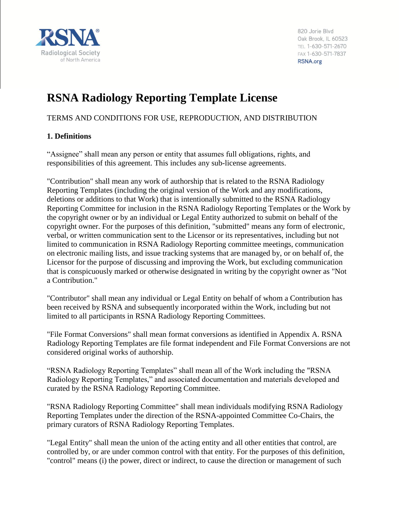

820 Jorie Blvd Oak Brook, IL 60523 TEL 1-630-571-2670 FAX 1-630-571-7837 RSNA.org

# **RSNA Radiology Reporting Template License**

# TERMS AND CONDITIONS FOR USE, REPRODUCTION, AND DISTRIBUTION

## **1. Definitions**

"Assignee" shall mean any person or entity that assumes full obligations, rights, and responsibilities of this agreement. This includes any sub-license agreements.

"Contribution" shall mean any work of authorship that is related to the RSNA Radiology Reporting Templates (including the original version of the Work and any modifications, deletions or additions to that Work) that is intentionally submitted to the RSNA Radiology Reporting Committee for inclusion in the RSNA Radiology Reporting Templates or the Work by the copyright owner or by an individual or Legal Entity authorized to submit on behalf of the copyright owner. For the purposes of this definition, "submitted" means any form of electronic, verbal, or written communication sent to the Licensor or its representatives, including but not limited to communication in RSNA Radiology Reporting committee meetings, communication on electronic mailing lists, and issue tracking systems that are managed by, or on behalf of, the Licensor for the purpose of discussing and improving the Work, but excluding communication that is conspicuously marked or otherwise designated in writing by the copyright owner as "Not a Contribution."

"Contributor" shall mean any individual or Legal Entity on behalf of whom a Contribution has been received by RSNA and subsequently incorporated within the Work, including but not limited to all participants in RSNA Radiology Reporting Committees.

"File Format Conversions" shall mean format conversions as identified in Appendix A. RSNA Radiology Reporting Templates are file format independent and File Format Conversions are not considered original works of authorship.

"RSNA Radiology Reporting Templates" shall mean all of the Work including the "RSNA Radiology Reporting Templates," and associated documentation and materials developed and curated by the RSNA Radiology Reporting Committee.

"RSNA Radiology Reporting Committee" shall mean individuals modifying RSNA Radiology Reporting Templates under the direction of the RSNA-appointed Committee Co-Chairs, the primary curators of RSNA Radiology Reporting Templates.

"Legal Entity" shall mean the union of the acting entity and all other entities that control, are controlled by, or are under common control with that entity. For the purposes of this definition, "control" means (i) the power, direct or indirect, to cause the direction or management of such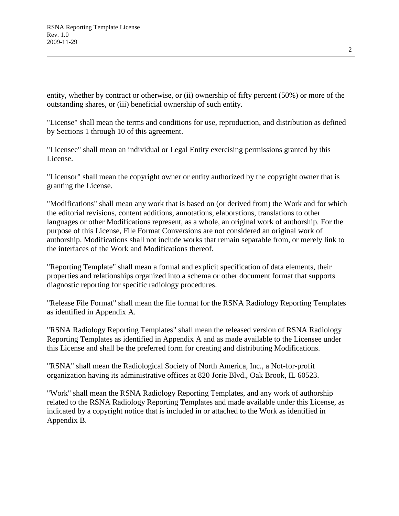entity, whether by contract or otherwise, or (ii) ownership of fifty percent (50%) or more of the outstanding shares, or (iii) beneficial ownership of such entity.

"License" shall mean the terms and conditions for use, reproduction, and distribution as defined by Sections 1 through 10 of this agreement.

"Licensee" shall mean an individual or Legal Entity exercising permissions granted by this License.

"Licensor" shall mean the copyright owner or entity authorized by the copyright owner that is granting the License.

"Modifications" shall mean any work that is based on (or derived from) the Work and for which the editorial revisions, content additions, annotations, elaborations, translations to other languages or other Modifications represent, as a whole, an original work of authorship. For the purpose of this License, File Format Conversions are not considered an original work of authorship. Modifications shall not include works that remain separable from, or merely link to the interfaces of the Work and Modifications thereof.

"Reporting Template" shall mean a formal and explicit specification of data elements, their properties and relationships organized into a schema or other document format that supports diagnostic reporting for specific radiology procedures.

"Release File Format" shall mean the file format for the RSNA Radiology Reporting Templates as identified in Appendix A.

"RSNA Radiology Reporting Templates" shall mean the released version of RSNA Radiology Reporting Templates as identified in Appendix A and as made available to the Licensee under this License and shall be the preferred form for creating and distributing Modifications.

"RSNA" shall mean the Radiological Society of North America, Inc., a Not-for-profit organization having its administrative offices at 820 Jorie Blvd., Oak Brook, IL 60523.

"Work" shall mean the RSNA Radiology Reporting Templates, and any work of authorship related to the RSNA Radiology Reporting Templates and made available under this License, as indicated by a copyright notice that is included in or attached to the Work as identified in Appendix B.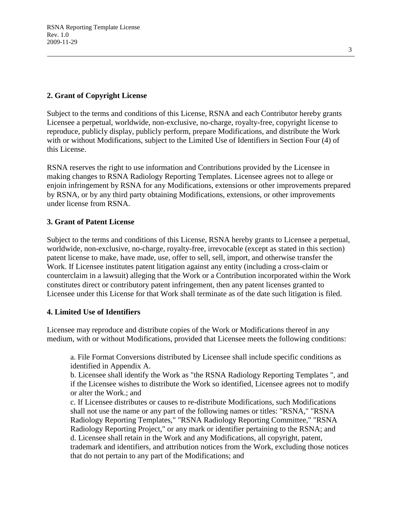## **2. Grant of Copyright License**

Subject to the terms and conditions of this License, RSNA and each Contributor hereby grants Licensee a perpetual, worldwide, non-exclusive, no-charge, royalty-free, copyright license to reproduce, publicly display, publicly perform, prepare Modifications, and distribute the Work with or without Modifications, subject to the Limited Use of Identifiers in Section Four (4) of this License.

RSNA reserves the right to use information and Contributions provided by the Licensee in making changes to RSNA Radiology Reporting Templates. Licensee agrees not to allege or enjoin infringement by RSNA for any Modifications, extensions or other improvements prepared by RSNA, or by any third party obtaining Modifications, extensions, or other improvements under license from RSNA.

## **3. Grant of Patent License**

Subject to the terms and conditions of this License, RSNA hereby grants to Licensee a perpetual, worldwide, non-exclusive, no-charge, royalty-free, irrevocable (except as stated in this section) patent license to make, have made, use, offer to sell, sell, import, and otherwise transfer the Work. If Licensee institutes patent litigation against any entity (including a cross-claim or counterclaim in a lawsuit) alleging that the Work or a Contribution incorporated within the Work constitutes direct or contributory patent infringement, then any patent licenses granted to Licensee under this License for that Work shall terminate as of the date such litigation is filed.

## **4. Limited Use of Identifiers**

Licensee may reproduce and distribute copies of the Work or Modifications thereof in any medium, with or without Modifications, provided that Licensee meets the following conditions:

a. File Format Conversions distributed by Licensee shall include specific conditions as identified in Appendix A.

b. Licensee shall identify the Work as "the RSNA Radiology Reporting Templates ", and if the Licensee wishes to distribute the Work so identified, Licensee agrees not to modify or alter the Work.; and

c. If Licensee distributes or causes to re-distribute Modifications, such Modifications shall not use the name or any part of the following names or titles: "RSNA," "RSNA Radiology Reporting Templates," "RSNA Radiology Reporting Committee," "RSNA Radiology Reporting Project," or any mark or identifier pertaining to the RSNA; and d. Licensee shall retain in the Work and any Modifications, all copyright, patent, trademark and identifiers, and attribution notices from the Work, excluding those notices that do not pertain to any part of the Modifications; and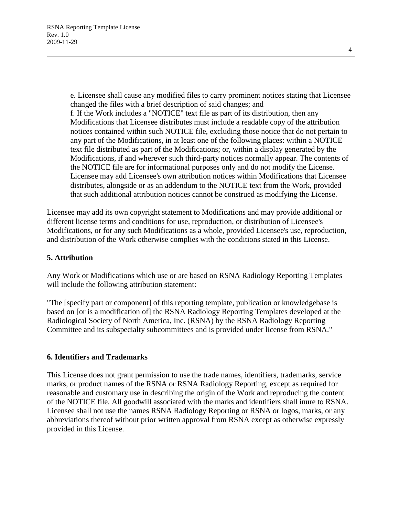e. Licensee shall cause any modified files to carry prominent notices stating that Licensee changed the files with a brief description of said changes; and f. If the Work includes a "NOTICE" text file as part of its distribution, then any Modifications that Licensee distributes must include a readable copy of the attribution notices contained within such NOTICE file, excluding those notice that do not pertain to any part of the Modifications, in at least one of the following places: within a NOTICE text file distributed as part of the Modifications; or, within a display generated by the Modifications, if and wherever such third-party notices normally appear. The contents of the NOTICE file are for informational purposes only and do not modify the License. Licensee may add Licensee's own attribution notices within Modifications that Licensee distributes, alongside or as an addendum to the NOTICE text from the Work, provided that such additional attribution notices cannot be construed as modifying the License.

Licensee may add its own copyright statement to Modifications and may provide additional or different license terms and conditions for use, reproduction, or distribution of Licensee's Modifications, or for any such Modifications as a whole, provided Licensee's use, reproduction, and distribution of the Work otherwise complies with the conditions stated in this License.

## **5. Attribution**

Any Work or Modifications which use or are based on RSNA Radiology Reporting Templates will include the following attribution statement:

"The [specify part or component] of this reporting template, publication or knowledgebase is based on [or is a modification of] the RSNA Radiology Reporting Templates developed at the Radiological Society of North America, Inc. (RSNA) by the RSNA Radiology Reporting Committee and its subspecialty subcommittees and is provided under license from RSNA."

#### **6. Identifiers and Trademarks**

This License does not grant permission to use the trade names, identifiers, trademarks, service marks, or product names of the RSNA or RSNA Radiology Reporting, except as required for reasonable and customary use in describing the origin of the Work and reproducing the content of the NOTICE file. All goodwill associated with the marks and identifiers shall inure to RSNA. Licensee shall not use the names RSNA Radiology Reporting or RSNA or logos, marks, or any abbreviations thereof without prior written approval from RSNA except as otherwise expressly provided in this License.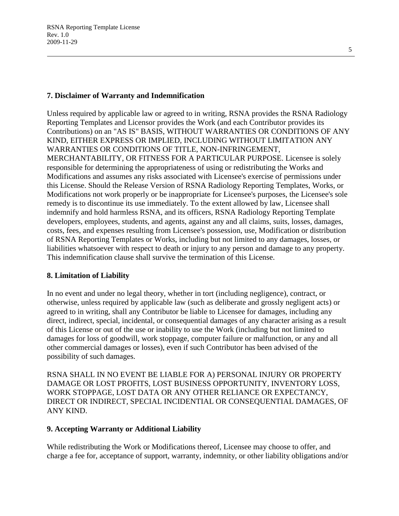### **7. Disclaimer of Warranty and Indemnification**

Unless required by applicable law or agreed to in writing, RSNA provides the RSNA Radiology Reporting Templates and Licensor provides the Work (and each Contributor provides its Contributions) on an "AS IS" BASIS, WITHOUT WARRANTIES OR CONDITIONS OF ANY KIND, EITHER EXPRESS OR IMPLIED, INCLUDING WITHOUT LIMITATION ANY WARRANTIES OR CONDITIONS OF TITLE, NON-INFRINGEMENT, MERCHANTABILITY, OR FITNESS FOR A PARTICULAR PURPOSE. Licensee is solely responsible for determining the appropriateness of using or redistributing the Works and Modifications and assumes any risks associated with Licensee's exercise of permissions under this License. Should the Release Version of RSNA Radiology Reporting Templates, Works, or Modifications not work properly or be inappropriate for Licensee's purposes, the Licensee's sole remedy is to discontinue its use immediately. To the extent allowed by law, Licensee shall indemnify and hold harmless RSNA, and its officers, RSNA Radiology Reporting Template developers, employees, students, and agents, against any and all claims, suits, losses, damages, costs, fees, and expenses resulting from Licensee's possession, use, Modification or distribution of RSNA Reporting Templates or Works, including but not limited to any damages, losses, or liabilities whatsoever with respect to death or injury to any person and damage to any property. This indemnification clause shall survive the termination of this License.

#### **8. Limitation of Liability**

In no event and under no legal theory, whether in tort (including negligence), contract, or otherwise, unless required by applicable law (such as deliberate and grossly negligent acts) or agreed to in writing, shall any Contributor be liable to Licensee for damages, including any direct, indirect, special, incidental, or consequential damages of any character arising as a result of this License or out of the use or inability to use the Work (including but not limited to damages for loss of goodwill, work stoppage, computer failure or malfunction, or any and all other commercial damages or losses), even if such Contributor has been advised of the possibility of such damages.

RSNA SHALL IN NO EVENT BE LIABLE FOR A) PERSONAL INJURY OR PROPERTY DAMAGE OR LOST PROFITS, LOST BUSINESS OPPORTUNITY, INVENTORY LOSS, WORK STOPPAGE, LOST DATA OR ANY OTHER RELIANCE OR EXPECTANCY, DIRECT OR INDIRECT, SPECIAL INCIDENTIAL OR CONSEQUENTIAL DAMAGES, OF ANY KIND.

#### **9. Accepting Warranty or Additional Liability**

While redistributing the Work or Modifications thereof, Licensee may choose to offer, and charge a fee for, acceptance of support, warranty, indemnity, or other liability obligations and/or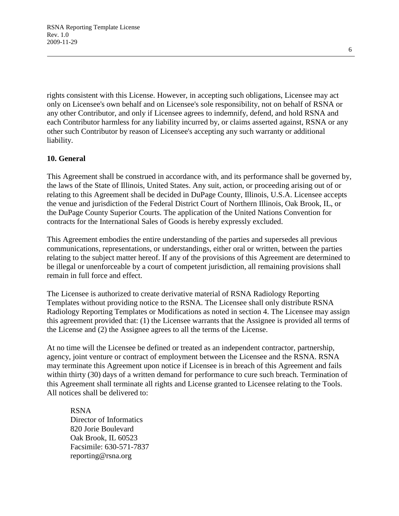RSNA Reporting Template License Rev. 1.0 2009-11-29

rights consistent with this License. However, in accepting such obligations, Licensee may act only on Licensee's own behalf and on Licensee's sole responsibility, not on behalf of RSNA or any other Contributor, and only if Licensee agrees to indemnify, defend, and hold RSNA and each Contributor harmless for any liability incurred by, or claims asserted against, RSNA or any other such Contributor by reason of Licensee's accepting any such warranty or additional liability.

#### **10. General**

This Agreement shall be construed in accordance with, and its performance shall be governed by, the laws of the State of Illinois, United States. Any suit, action, or proceeding arising out of or relating to this Agreement shall be decided in DuPage County, Illinois, U.S.A. Licensee accepts the venue and jurisdiction of the Federal District Court of Northern Illinois, Oak Brook, IL, or the DuPage County Superior Courts. The application of the United Nations Convention for contracts for the International Sales of Goods is hereby expressly excluded.

This Agreement embodies the entire understanding of the parties and supersedes all previous communications, representations, or understandings, either oral or written, between the parties relating to the subject matter hereof. If any of the provisions of this Agreement are determined to be illegal or unenforceable by a court of competent jurisdiction, all remaining provisions shall remain in full force and effect.

The Licensee is authorized to create derivative material of RSNA Radiology Reporting Templates without providing notice to the RSNA. The Licensee shall only distribute RSNA Radiology Reporting Templates or Modifications as noted in section 4. The Licensee may assign this agreement provided that: (1) the Licensee warrants that the Assignee is provided all terms of the License and (2) the Assignee agrees to all the terms of the License.

At no time will the Licensee be defined or treated as an independent contractor, partnership, agency, joint venture or contract of employment between the Licensee and the RSNA. RSNA may terminate this Agreement upon notice if Licensee is in breach of this Agreement and fails within thirty (30) days of a written demand for performance to cure such breach. Termination of this Agreement shall terminate all rights and License granted to Licensee relating to the Tools. All notices shall be delivered to:

## RSNA Director of Informatics 820 Jorie Boulevard Oak Brook, IL 60523 Facsimile: 630-571-7837 reporting@rsna.org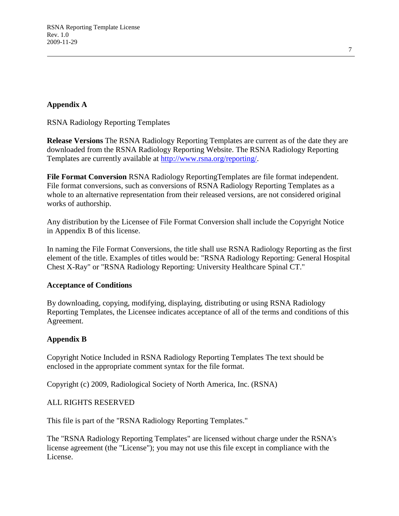## **Appendix A**

RSNA Radiology Reporting Templates

**Release Versions** The RSNA Radiology Reporting Templates are current as of the date they are downloaded from the RSNA Radiology Reporting Website. The RSNA Radiology Reporting Templates are currently available at [http://www.rsna.org/reporting/.](http://www.rsna.org/reporting/)

**File Format Conversion** RSNA Radiology ReportingTemplates are file format independent. File format conversions, such as conversions of RSNA Radiology Reporting Templates as a whole to an alternative representation from their released versions, are not considered original works of authorship.

Any distribution by the Licensee of File Format Conversion shall include the Copyright Notice in Appendix B of this license.

In naming the File Format Conversions, the title shall use RSNA Radiology Reporting as the first element of the title. Examples of titles would be: "RSNA Radiology Reporting: General Hospital Chest X-Ray" or "RSNA Radiology Reporting: University Healthcare Spinal CT."

#### **Acceptance of Conditions**

By downloading, copying, modifying, displaying, distributing or using RSNA Radiology Reporting Templates, the Licensee indicates acceptance of all of the terms and conditions of this Agreement.

## **Appendix B**

Copyright Notice Included in RSNA Radiology Reporting Templates The text should be enclosed in the appropriate comment syntax for the file format.

Copyright (c) 2009, Radiological Society of North America, Inc. (RSNA)

## ALL RIGHTS RESERVED

This file is part of the "RSNA Radiology Reporting Templates."

The "RSNA Radiology Reporting Templates" are licensed without charge under the RSNA's license agreement (the "License"); you may not use this file except in compliance with the License.